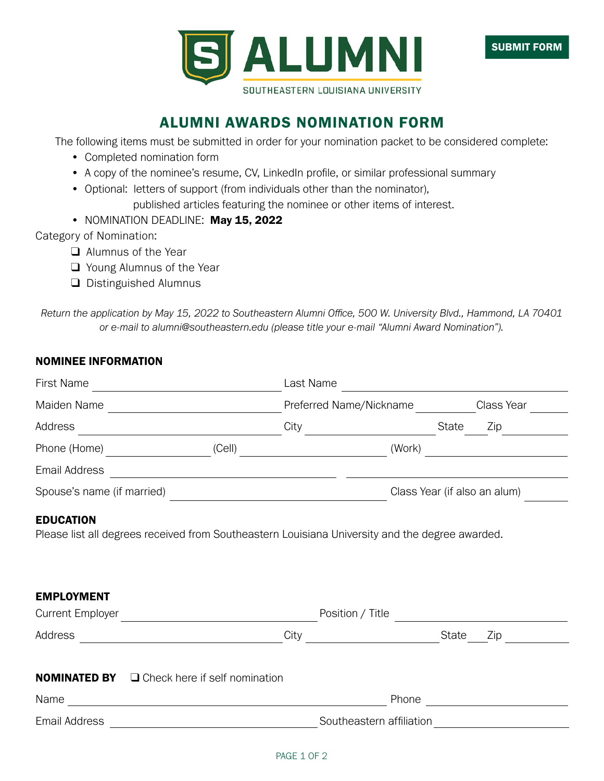

## ALUMNI AWARDS NOMINATION FORM

The following items must be submitted in order for your nomination packet to be considered complete:

- Completed nomination form
- A copy of the nominee's resume, CV, LinkedIn profile, or similar professional summary
- Optional: letters of support (from individuals other than the nominator),

published articles featuring the nominee or other items of interest.

• NOMINATION DEADLINE: May 15, 2022

Category of Nomination:

- $\Box$  Alumnus of the Year
- $\Box$  Young Alumnus of the Year
- $\Box$  Distinguished Alumnus

*Return the application by May 15, 2022 to Southeastern Alumni Office, 500 W. University Blvd., Hammond, LA 70401 or e-mail to alumni@southeastern.edu (please title your e-mail "Alumni Award Nomination").*

## NOMINEE INFORMATION

| First Name                                   | Last Name<br><u> 1980 - Johann Barnett, fransk politik (</u>                                    | <u> 1989 - Andrea State Barbara, amerikan per</u>                                                                             |
|----------------------------------------------|-------------------------------------------------------------------------------------------------|-------------------------------------------------------------------------------------------------------------------------------|
| Maiden Name                                  | <u> 1980 - Johann Barbara, martxa amerikan personal (</u>                                       | Preferred Name/Nickname<br>Class Year                                                                                         |
| Address                                      | City                                                                                            | State<br>Zip                                                                                                                  |
| Phone (Home) <u>________________________</u> | (Cell)                                                                                          |                                                                                                                               |
| Email Address                                | <u> 1999 - Johann Stoff, fransk politik (f. 1989)</u>                                           |                                                                                                                               |
| Spouse's name (if married)                   | <u> 1989 - Johann Barn, fransk politik fotograf (d. 1989)</u>                                   | Class Year (if also an alum)                                                                                                  |
| <b>EDUCATION</b>                             |                                                                                                 |                                                                                                                               |
| <b>EMPLOYMENT</b>                            | Please list all degrees received from Southeastern Louisiana University and the degree awarded. |                                                                                                                               |
| <b>Current Employer</b>                      | Position / Title<br><u> 1980 - Johann Barbara, martxa al</u>                                    |                                                                                                                               |
| Address                                      | City<br><u> 1980 - Johann Barn, mars an t-Amerikaansk kommunister (</u>                         | State<br>Zip                                                                                                                  |
| <b>NOMINATED BY</b>                          | $\Box$ Check here if self nomination                                                            |                                                                                                                               |
| Name                                         |                                                                                                 | Phone<br><u> 1989 - Jan Barbara Barat, prima popular popular popular popular popular popular popular popular popular popu</u> |